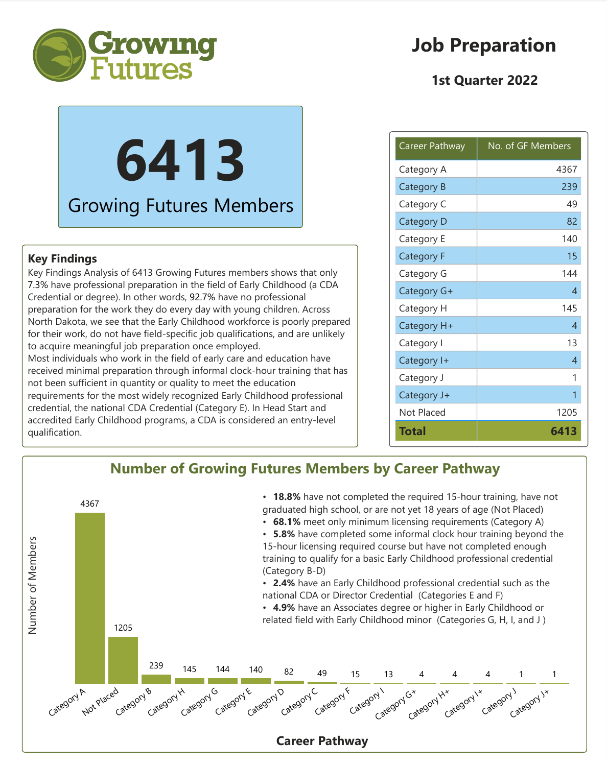

## **Job Preparation**

### **1st Quarter 2022**

# **6413** Growing Futures Members

#### **Key Findings**

Key Findings Analysis of 6413 Growing Futures members shows that only 7.3% have professional preparation in the field of Early Childhood (a CDA Credential or degree). In other words, 92.7% have no professional preparation for the work they do every day with young children. Across North Dakota, we see that the Early Childhood workforce is poorly prepared for their work, do not have field-specific job qualifications, and are unlikely to acquire meaningful job preparation once employed. Most individuals who work in the field of early care and education have received minimal preparation through informal clock-hour training that has not been sufficient in quantity or quality to meet the education requirements for the most widely recognized Early Childhood professional credential, the national CDA Credential (Category E). In Head Start and accredited Early Childhood programs, a CDA is considered an entry-level qualification.

| Career Pathway    | No. of GF Members |
|-------------------|-------------------|
| Category A        | 4367              |
| Category B        | 239               |
| Category C        | 49                |
| Category D        | 82                |
| Category E        | 140               |
| <b>Category F</b> | 15                |
| Category G        | 144               |
| Category G+       | 4                 |
| Category H        | 145               |
| Category H+       | 4                 |
| Category I        | 13                |
| Category I+       | 4                 |
| Category J        | 1                 |
| Category J+       | 1                 |
| Not Placed        | 1205              |
| Total             | 6413              |

#### **Number of Growing Futures Members by Career Pathway** • **18.8%** have not completed the required 15-hour training, have not 4367 graduated high school, or are not yet 18 years of age (Not Placed) • **68.1%** meet only minimum licensing requirements (Category A) • **5.8%** have completed some informal clock hour training beyond the Number of Members Number of Members 15-hour licensing required course but have not completed enough training to qualify for a basic Early Childhood professional credential (Category B-D) • **2.4%** have an Early Childhood professional credential such as the national CDA or Director Credential (Categories E and F) • **4.9%** have an Associates degree or higher in Early Childhood or related field with Early Childhood minor (Categories G, H, I, and J )1205 239 145 144 140 82 49 15 13 4 4 4 1 1 Not placed Category B Category G Category C Category F Category E Category D Category I Category Ix Category J Category A Category H Category G\* Category H+ Category Jx **Career Pathway**